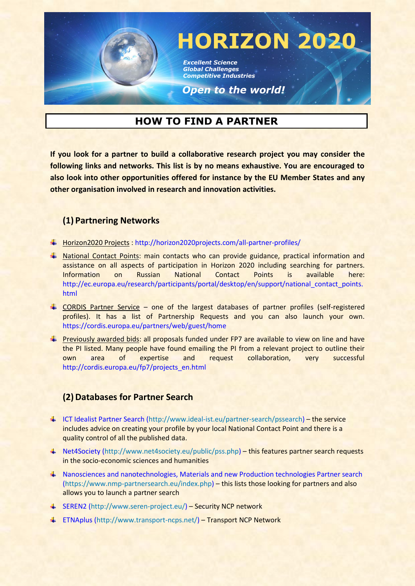

# **HOW TO FIND A PARTNER**

**If you look for a partner to build a collaborative research project you may consider the following links and networks. This list is by no means exhaustive. You are encouraged to also look into other opportunities offered for instance by the EU Member States and any other organisation involved in research and innovation activities.**

## **(1) Partnering Networks**

- Horizon2020 Projects : <http://horizon2020projects.com/all-partner-profiles/>
- National Contact Points: main contacts who can provide guidance, practical information and assistance on all aspects of participation in Horizon 2020 including searching for partners. Information on Russian National Contact Points is available here: [http://ec.europa.eu/research/participants/portal/desktop/en/support/national\\_contact\\_points.](http://ec.europa.eu/research/participants/portal/desktop/en/support/national_contact_points.html) [html](http://ec.europa.eu/research/participants/portal/desktop/en/support/national_contact_points.html)
- CORDIS Partner Service one of the largest databases of partner profiles (self-registered profiles). It has a list of Partnership Requests and you can also launch your own. <https://cordis.europa.eu/partners/web/guest/home>
- **Previously awarded bids: all proposals funded under FP7 are available to view on line and have** the PI listed. Many people have found emailing the PI from a relevant project to outline their own area of expertise and request collaboration, very successful [http://cordis.europa.eu/fp7/projects\\_en.html](http://cordis.europa.eu/fp7/projects_en.html)

## **(2)Databases for Partner Search**

- [ICT Idealist Partner Search](http://www.ideal-ist.eu/partner-search/pssearch) [\(http://www.ideal-ist.eu/partner-search/pssearch\)](http://www.ideal-ist.eu/partner-search/pssearch) the service includes advice on creating your profile by your local National Contact Point and there is a quality control of all the published data.
- [Net4Society](http://www.net4society.eu/public/pss.php) [\(http://www.net4society.eu/public/pss.php\)](http://www.net4society.eu/public/pss.php) this features partner search requests in the socio-economic sciences and humanities
- [Nanosciences and nanotechnologies, Materials and new Production technologies Partner search](https://www.nmp-partnersearch.eu/index.php) [\(https://www.nmp-partnersearch.eu/index.php\)](https://www.nmp-partnersearch.eu/index.php) – this lists those looking for partners and also allows you to launch a partner search
- [SEREN2](http://www.seren-project.eu/) [\(http://www.seren-project.eu/\)](http://www.seren-project.eu/) Security NCP network
- [ETNAplus](http://www.transport-ncps.net/) [\(http://www.transport-ncps.net/\)](http://www.transport-ncps.net/) Transport NCP Network